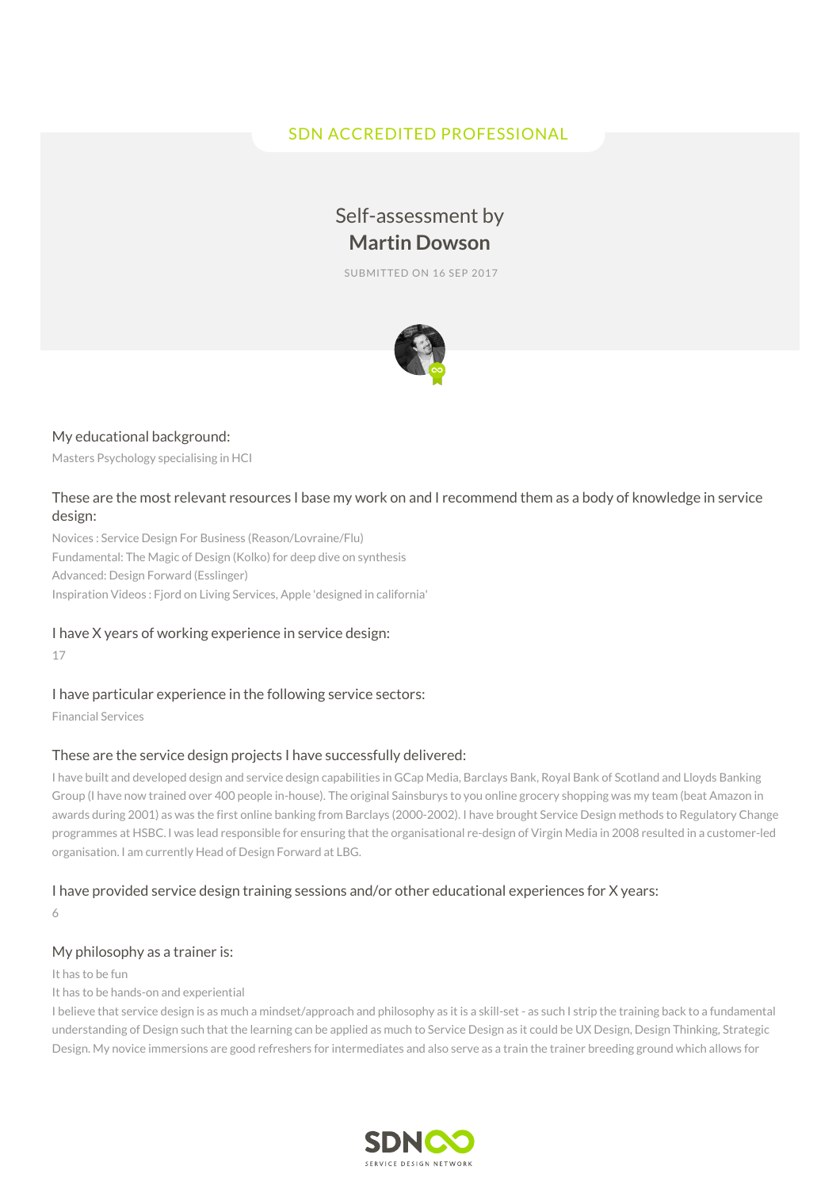# SDN ACCREDITED PROFESSIONAL

# Self-assessment by **Martin Dowson**

SUBMITTED ON 16 SEP 2017



#### My educational background:

Masters Psychology specialising in HCI

#### These are the most relevant resources I base my work on and I recommend them as a body of knowledge in service design:

Novices : Service Design For Business (Reason/Lovraine/Flu) Fundamental: The Magic of Design (Kolko) for deep dive on synthesis Advanced: Design Forward (Esslinger) Inspiration Videos : Fjord on Living Services, Apple 'designed in california'

#### I have X years of working experience in service design:

17

#### I have particular experience in the following service sectors:

Financial Services

#### These are the service design projects I have successfully delivered:

I have built and developed design and service design capabilities in GCap Media, Barclays Bank, Royal Bank of Scotland and Lloyds Banking Group (I have now trained over 400 people in-house). The original Sainsburys to you online grocery shopping was my team (beat Amazon in awards during 2001) as was the first online banking from Barclays (2000-2002). I have brought Service Design methods to Regulatory Change programmes at HSBC. I was lead responsible for ensuring that the organisational re-design of Virgin Media in 2008 resulted in a customer-led organisation. I am currently Head of Design Forward at LBG.

#### I have provided service design training sessions and/or other educational experiences for X years:

6

## My philosophy as a trainer is:

#### It has to be fun

It has to be hands-on and experiential

I believe that service design is as much a mindset/approach and philosophy as it is a skill-set - as such I strip the training back to a fundamental understanding of Design such that the learning can be applied as much to Service Design as it could be UX Design, Design Thinking, Strategic Design. My novice immersions are good refreshers for intermediates and also serve as a train the trainer breeding ground which allows for

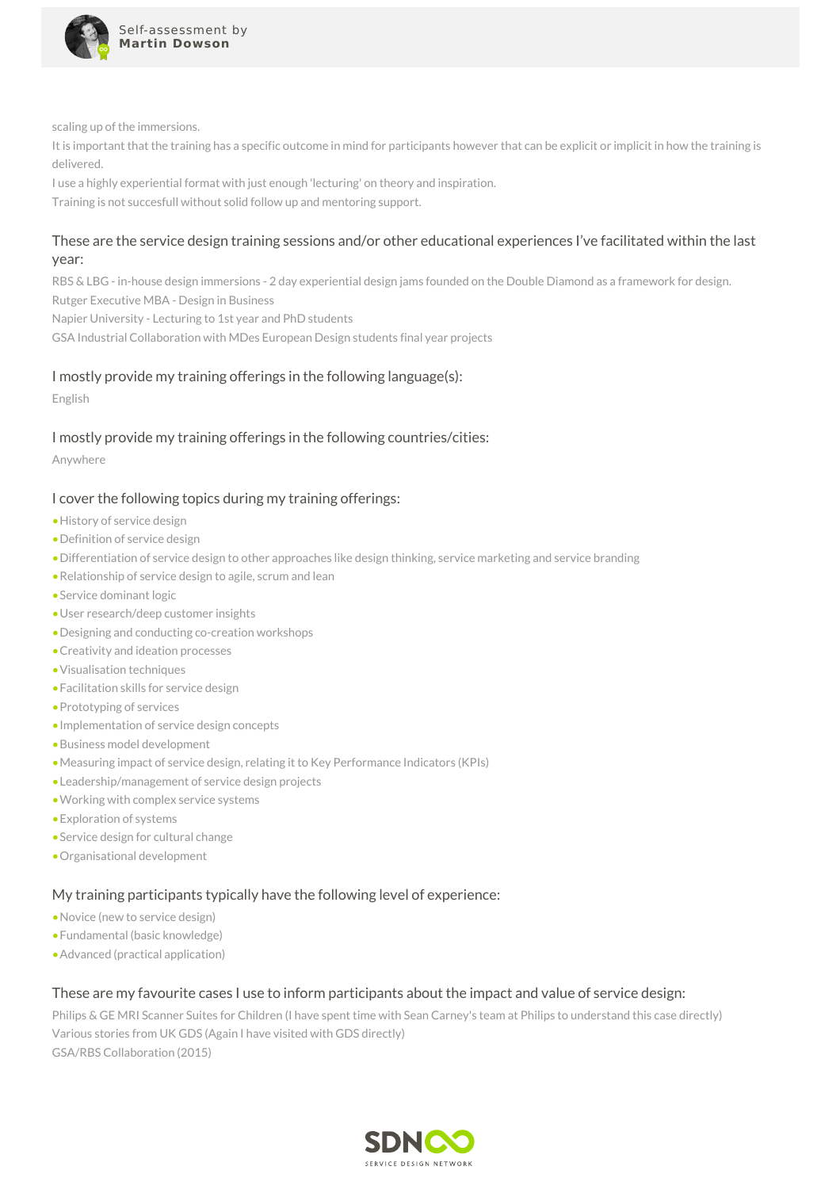

scaling up of the immersions.

It is important that the training has a specific outcome in mind for participants however that can be explicit or implicit in how the training is delivered.

I use a highly experiential format with just enough 'lecturing' on theory and inspiration.

Training is not succesfull without solid follow up and mentoring support.

#### These are the service design training sessions and/or other educational experiences I've facilitated within the last year:

RBS & LBG - in-house design immersions - 2 day experiential design jams founded on the Double Diamond as a framework for design. Rutger Executive MBA - Design in Business

Napier University - Lecturing to 1st year and PhD students

GSA Industrial Collaboration with MDes European Design students final year projects

#### I mostly provide my training offerings in the following language(s):

English

#### I mostly provide my training offerings in the following countries/cities:

Anywhere

#### I cover the following topics during my training offerings:

- •History of service design
- •Definition of service design
- •Differentiation of service design to other approaches like design thinking, service marketing and service branding
- •Relationship of service design to agile, scrum and lean
- •Service dominant logic
- •User research/deep customer insights
- •Designing and conducting co-creation workshops
- •Creativity and ideation processes
- •Visualisation techniques
- •Facilitation skills for service design
- •Prototyping of services
- •Implementation of service design concepts
- •Business model development
- •Measuring impact of service design, relating it to Key Performance Indicators (KPIs)
- •Leadership/management of service design projects
- •Working with complex service systems
- •Exploration of systems
- •Service design for cultural change
- •Organisational development

#### My training participants typically have the following level of experience:

- •Novice (new to service design)
- •Fundamental (basic knowledge)
- •Advanced (practical application)

#### These are my favourite cases I use to inform participants about the impact and value of service design:

Philips & GE MRI Scanner Suites for Children (I have spent time with Sean Carney's team at Philips to understand this case directly) Various stories from UK GDS (Again I have visited with GDS directly) GSA/RBS Collaboration (2015)

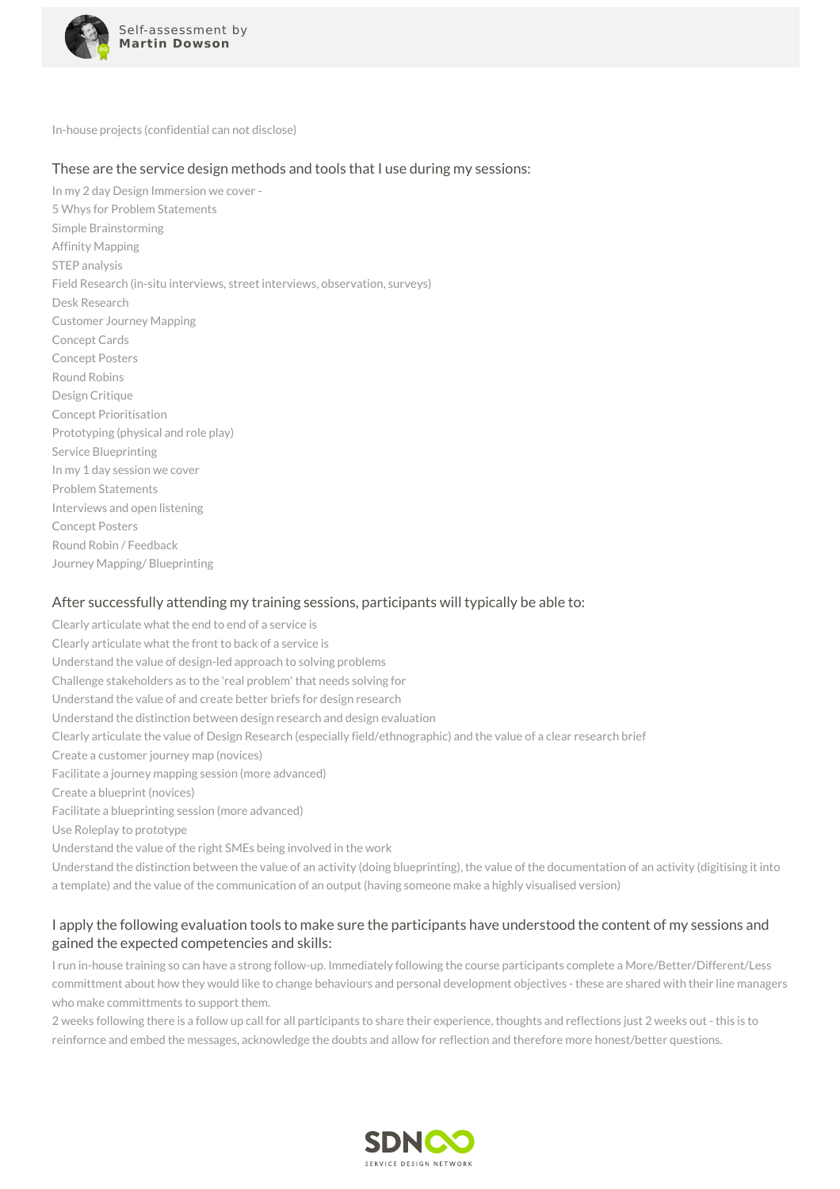

In-house projects (confidential can not disclose)

#### These are the service design methods and tools that I use during my sessions:

In my 2 day Design Immersion we cover - 5 Whys for Problem Statements Simple Brainstorming Affinity Mapping STEP analysis Field Research (in-situ interviews, street interviews, observation, surveys) Desk Research Customer Journey Mapping Concept Cards Concept Posters Round Robins Design Critique Concept Prioritisation Prototyping (physical and role play) Service Blueprinting In my 1 day session we cover Problem Statements Interviews and open listening Concept Posters Round Robin / Feedback Journey Mapping/ Blueprinting

#### After successfully attending my training sessions, participants will typically be able to:

Clearly articulate what the end to end of a service is Clearly articulate what the front to back of a service is Understand the value of design-led approach to solving problems Challenge stakeholders as to the 'real problem' that needs solving for Understand the value of and create better briefs for design research Understand the distinction between design research and design evaluation Clearly articulate the value of Design Research (especially field/ethnographic) and the value of a clear research brief Create a customer journey map (novices) Facilitate a journey mapping session (more advanced) Create a blueprint (novices) Facilitate a blueprinting session (more advanced) Use Roleplay to prototype Understand the value of the right SMEs being involved in the work Understand the distinction between the value of an activity (doing blueprinting), the value of the documentation of an activity (digitising it into a template) and the value of the communication of an output (having someone make a highly visualised version)

## I apply the following evaluation tools to make sure the participants have understood the content of my sessions and gained the expected competencies and skills:

I run in-house training so can have a strong follow-up. Immediately following the course participants complete a More/Better/Different/Less committment about how they would like to change behaviours and personal development objectives - these are shared with their line managers who make committments to support them.

2 weeks following there is a follow up call for all participants to share their experience, thoughts and reflections just 2 weeks out - this is to reinfornce and embed the messages, acknowledge the doubts and allow for reflection and therefore more honest/better questions.